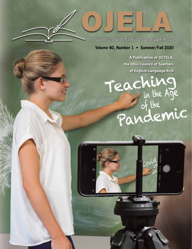Ohio Journal of English Language Arts

E

**R.** 

**Volume 60, Number 1 • Summer/Fall 2020**

**A Publication of OCTELA, the Ohio Council of Teachers of English Language Arts**

 $\Lambda$ 

Teaching<br>in the Age<br>of the

Pandemic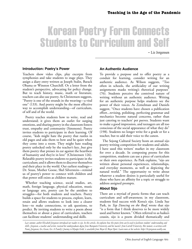# Korean Poetry Form Connects Students to Curriculum and Self

– Liz Jorgensen

#### **Introduction: Poetry's Power**

Teachers show video clips, play excerpts from symphonies and take students to stage plays. They assign a diary entry written as Joseph Stalin, Barack Obama or Winston Churchill. Or a letter from the student's perspective, advocating for policy change. But to teach history, music, math or literature, teachers can also use poetry. As Christensen suggests, "Poetry is one of the strands in the weaving—a vital one" (133). And poetry might be the most effective way to accomplish understanding—of curriculum, of self and of the world.

Poetry teaches students how to write, read and understand; it gives them an outlet for surging emotions, and sharing poetry in the classroom fosters trust, empathy and community (Simmons). Poetry invites students to participate in their learning. Of course, "kids might hate the poetry that rustles in old pages and asks them to bow and be quiet when they come into a room. They might hate reading poetry unlocked only by the teacher's key...but give them poetry that presses its ear against the heartbeat of humanity and they're in love" (Christensen 126). Relatable poetry invites students to participate in the curriculum; and it allows them to discover themselves and their place in the world. Our earliest readings— Dr. Seuss, Mother Goose, Shel Silverstein—remind us of poetry's power to connect with children and that power still exists as children mature.

Whether teaching science, social studies, art, math, foreign language, physical education, music or language arts, poetry can be the antidote to struggles—for both students and teachers. Poetry builds a space for students to process, explore, learn, retain and allows students to look into a clearer lens—to make connections, to ask questions, to predict. By inviting students to write a poem about themselves or about a piece of curriculum, teachers can facilitate students' understanding and skills.

## **An Authentic Audience**

To provide a purpose and to offer poetry as a conduit for learning, consider writing for an authentic audience. As Wilson suggests, "Too often in schools, the artificiality of our writing assignments masks writing's rhetorical purposes" (76). Students perceive the contrived nature of writing without an authentic audience. Writing for an authentic purpose helps students see the power of their voices. As Zemelman and Daniels suggest, "Once students have chosen a publication effort...revising, polishing, perfecting grammar and mechanics become natural concerns, rather than just catering to teachers' pet peeves. Students want to make a good impression, and teenagers are all too conscious of the social appearance of what they do" (198). Students no longer write for a grade or for a teacher, but to add their voice to the canon.

The Sejong Cultural Society hosts an annual sijo poetry-writing competition for students and adults. I have used this writers' market in my classroom for over a decade. In composing poems for this competition, students can use a piece of curriculum or their own experience. As Park explains, "sijo are written about personal experiences, relationships, and everyday moments, as well as depicting the natural world." The opportunity to write about whatever a student desires is particularly useful for those who have an affinity for a topic or struggle to address assigned prompts.

## **About Sijo**

There are a myriad of poetic forms that can teach curriculum and self-awareness; in my classroom, students find success with Korea's sijo. Linda Sue Park, in *Tap Dancing on the Roof,* wrote that sijo "is a form that I think deserves to be more widely used and better known." Often referred to as haiku's cousin, sijo is a poem divided thematically and

*Last summer, author Elizabeth Jorgensen introduced our readers to sijo. In this article, she explains how this poetic form can be used to facilitate students' understanding and skills. Jorgensen, a teacher and writer, received her undergraduate degree from Marquette University and her master's from Carroll University. Her memoir, co-written with Nancy Jorgensen, Go, Gwen, Go: A Family's Journey to Olympic Gold, is available from Meyer & Meyer Sport. Learn more at her website: https://lizjorgensen.weebly.com.*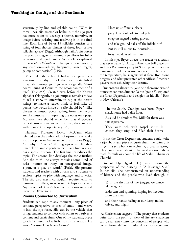structurally by line and syllable count. "With its three lines, sijo resembles haiku, but the sijo poet has more room to develop a theme, narrative, or image before twisting and resolving it in the final line. Each line of 14 or 15 syllables consists of a string of four shorter phrases of three, four, or five syllables apiece" (Sege). Although haiku's size forces the poet to suggest a meaning, sijo allows for fuller expression and development. As Sally True explained in *Elementary Education*, "The sijo express emotion, any emotion—sadness, happiness, anger, regret, gaiety, or compassion" (245).

Much like the rules of haiku, sijo presents a structure, the rhythm of the poem established in syllable groupings. Sijo were originally "short poems...sung at Court to the accompaniment of a lute" (True 245). Created even before the Korean alphabet (Hangeul), a sijo's purpose remains today: to tell a story, to entertain, to tug at the heart's strings, to make a reader think or feel. Like all poems, the words inside of a sijo should be "...like phrases of music; poets reading from their work are like musicians interpreting the notes on a page. Moreover, we should remember that if poetry's earliest associations are with music, they are also with drama" (Bishop, Starkey 129).

Harvard Professor David McCann—often referred to as the ambassador of sijo—aims to make sijo as popular in American culture as haiku (Sege). And why can't it be? Writing sijo is simpler than limerick or iambic pentameter: "Each line in a sijo has a special purpose. The first line introduces the topic. The second line develops the topic further. And the third line always contains some kind of twist—humor or irony, an unexpected image, a pun, or a play on words" (Park). Sijo presents students and teachers with a form and structure to explore topics, to play with language, and to write. The sijo also meets curriculum requirements: to resonate, to reflect, to recreate. Perhaps that's why "sijo is one of Korea's best contributions to world literature" (Peterson).

# **Poems Connected to Curriculum**

Students can capture any moment—any piece of content, perspective or area of study—and weave it into the sijo form. Sijo can be the vehicle that brings students to connect with others or a subject's content and curriculum. One of my students, Bryce (grade 12), used Jackie Robinson as inspiration. He wrote "Season That Never Comes":

I lace up stiff metal cleats,

jog yellow foul pole to foul pole,

strap on rugged batting gloves,

and take ground balls off the infield turf.

But it's still minus four outside—

forty two days till first pitch.

In his sijo, Bryce directs the reader to a season that never came for African American ball players and uses Robinson's jersey (42) to represent the days remaining until the season opener. In referring to the temperature, he suggests what froze Robinson's progress and what prevented other African American players from achieving their dreams.

Students can also write sijo to help them understand or master content. Student Dante (grade 8), explored the Great Depression and religion in his sijo, "Back in New Orleans":

 In the South, Grandpa was born. Paper shack house had a dirt floor.

As a kid he drank coffee. Milk for them was too expensive.

They were rich with gospel spirit! In church they sang, and filled their hearts.

If not the Great Depression, students could write a sijo about any piece of curriculum: the swim unit in gym, a symphony in orchestra, a play in acting. They could write about a chemical reaction, about math formula or about the life of Stalin, Obama or Churchill.

Student Hye (grade 11) wrote from the perspective of the Kisaeng in "A Kisaeng's Sijo." In her sijo, she demonstrated an understanding of history and the people who lived through it:

With the rhythm of the janggu, we dance like magpies,

iridescent and spinning, hoping for freedom from the men

and their hands feeling at our ivory ankles, calves, and thighs.

 As Christensen suggests, "The poetry that students write from the point of view of literary characters can be an entry into the concerns of people who come from different cultural or socioeconomic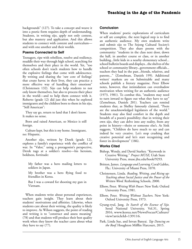backgrounds" (127). To take a concept and weave it into a poetic form requires depth of understanding. Students, in writing sijo, apply not only context, but also mastery and application. And this allows students to connect with content and curriculum and with one another and their worlds.

## **Poems Connected to Self**

Teenagers, ripe with rebellion, resolve and resiliency, muddle their way through high school, searching for themselves and their place in the world. Yet, "too often schools don't teach students how to handle the explosive feelings that come with adolescence. By writing and sharing the 'raw core of feelings' that create havoc in their lives, they can practice a more effective way of handling their emotions" (Christensen 132). Sijo can help students to not only know themselves, but also to process their place in the world—and to help them connect with it. Roberto (grade 12) did just this when he explored immigrants and the children born to them in his sijo, "Still American":

They say go, return to land that I don't know. It makes no sense.

Born and raised American, so Mexico is still foreign.

Culture kept, but this is my home. Immigrant, no: Hispanic.

Another sijo, written by Derek (grade 12), explores a family's experience with the conflict of war. In "Valor," using a protagonist's perspective, Derek tugs at a soldier's resolve—his heroism, boldness, fortitude:

My father was a hero mailing letters to soldiers in Japan.

My brother was a hero flying food to friendlies in Korea.

But I was a coward for shooting my gun in Vietnam.

When students write about personal experiences, teachers gain insight. They learn about their students' motivations and affinities. Likewise, when students care about their writing, the quality is likely to improve. As Wilson suggests, the point of reading and writing is to "construct and assess meaning" (78) and that students will produce their best quality work when they know the teacher cares about what they have to say (77).

## **Conclusion**

When students' poetic explorations of curriculum or self are complete, the next logical step is to find an authentic audience. My own students write and submit sijo to The Sejong Cultural Society's competition. They also share poems with the community: "students in the class next door, down the hall, in another course or class, or in another building...little kids in a nearby elementary school... school bulletin boards and displays...the shelves of the school or community library...government officials... teachers they had in the past...friends, relatives, and parents..." (Zemelman, Daniels 199). Additional writers' markets are on Submittable and many schools publish a literary magazine. Peter Elbow notes, however, that intimidation can overshadow motivation when writing for an authentic audience (1973, 1981). To combat this, "students may need to turn inward to figure out what they have to say" (Zemelman, Daniels 201). Teachers can remind students that, as Shelley famously claimed, "Poets are the unacknowledged legislators of the world." Students may also find comfort in the depth and breadth of a poem's possibility; that in writing their own sijo, they can delve into any reality, from any point in history—theirs or someone else's. As Sink suggests, "Children do have much to say and can indeed be very creative. Let's stop crushing that creative potential and let's start recognizing and foster its development" (186).

## **Works Cited**

- Bishop, Wendy, and David Starkey. "Keywords in Creative Writing." *Project MUSE*, Utah State University Press, muse.jhu.edu/book/9293.
- Britton, James. *Language and Learning.* Coral Gables, Fla.: University of Miami Press, 1070.
- Christensen, Linda. *Reading, Writing, and Rising up: Teaching about Social Justice and the Power of the Written Word*. Rethinking Schools, 2000.
- Elbow, Peter. *Writing With Power.* New York: Oxford University Press, 1981.
- Elbow, Peter. *Writing Without Teachers*. New York: Oxford University Press, 1973.
- Gyung-ryul, Jang. *In Search of the Essence of Sijo.*  Seoul National University, Vol.31, Spring 2016, www.korea.net/NewsFocus/Culture/ view?articleId=139116.
- Park, Linda Sue, and Istvan Banyai. *Tap Dancing on the Roof*. Houghton Mifflin Harcourt, 2015.